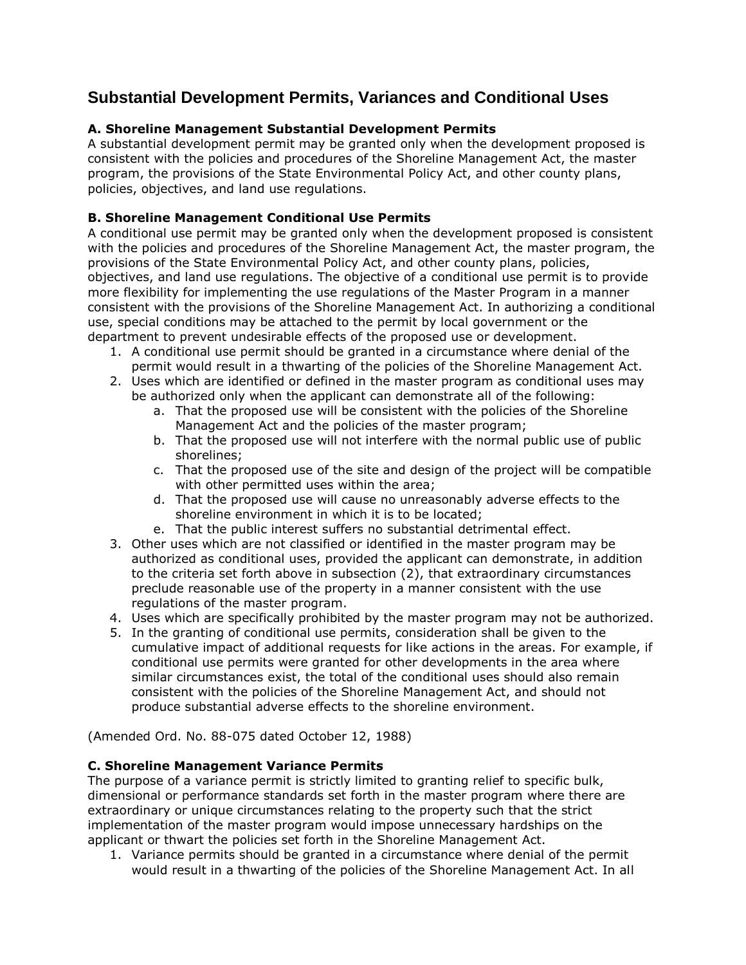# **Substantial Development Permits, Variances and Conditional Uses**

## **A. Shoreline Management Substantial Development Permits**

A substantial development permit may be granted only when the development proposed is consistent with the policies and procedures of the Shoreline Management Act, the master program, the provisions of the State Environmental Policy Act, and other county plans, policies, objectives, and land use regulations.

## **B. Shoreline Management Conditional Use Permits**

A conditional use permit may be granted only when the development proposed is consistent with the policies and procedures of the Shoreline Management Act, the master program, the provisions of the State Environmental Policy Act, and other county plans, policies, objectives, and land use regulations. The objective of a conditional use permit is to provide more flexibility for implementing the use regulations of the Master Program in a manner consistent with the provisions of the Shoreline Management Act. In authorizing a conditional use, special conditions may be attached to the permit by local government or the department to prevent undesirable effects of the proposed use or development.

- 1. A conditional use permit should be granted in a circumstance where denial of the permit would result in a thwarting of the policies of the Shoreline Management Act.
- 2. Uses which are identified or defined in the master program as conditional uses may be authorized only when the applicant can demonstrate all of the following:
	- a. That the proposed use will be consistent with the policies of the Shoreline Management Act and the policies of the master program;
	- b. That the proposed use will not interfere with the normal public use of public shorelines;
	- c. That the proposed use of the site and design of the project will be compatible with other permitted uses within the area;
	- d. That the proposed use will cause no unreasonably adverse effects to the shoreline environment in which it is to be located;
	- e. That the public interest suffers no substantial detrimental effect.
- 3. Other uses which are not classified or identified in the master program may be authorized as conditional uses, provided the applicant can demonstrate, in addition to the criteria set forth above in subsection (2), that extraordinary circumstances preclude reasonable use of the property in a manner consistent with the use regulations of the master program.
- 4. Uses which are specifically prohibited by the master program may not be authorized.
- 5. In the granting of conditional use permits, consideration shall be given to the cumulative impact of additional requests for like actions in the areas. For example, if conditional use permits were granted for other developments in the area where similar circumstances exist, the total of the conditional uses should also remain consistent with the policies of the Shoreline Management Act, and should not produce substantial adverse effects to the shoreline environment.

(Amended Ord. No. 88-075 dated October 12, 1988)

#### **C. Shoreline Management Variance Permits**

The purpose of a variance permit is strictly limited to granting relief to specific bulk, dimensional or performance standards set forth in the master program where there are extraordinary or unique circumstances relating to the property such that the strict implementation of the master program would impose unnecessary hardships on the applicant or thwart the policies set forth in the Shoreline Management Act.

1. Variance permits should be granted in a circumstance where denial of the permit would result in a thwarting of the policies of the Shoreline Management Act. In all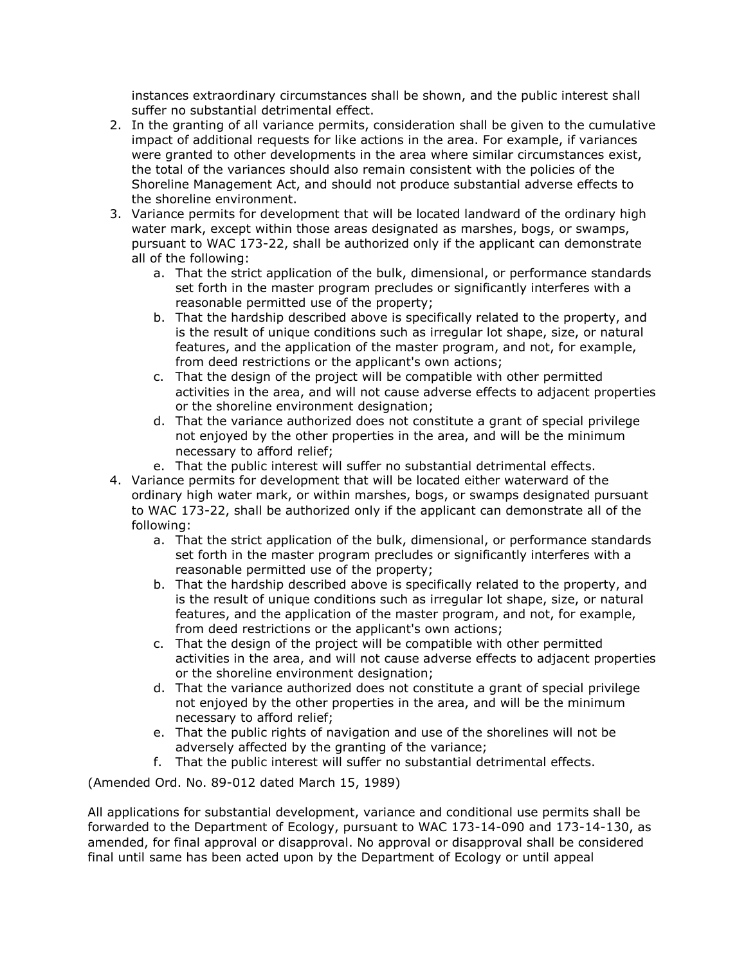instances extraordinary circumstances shall be shown, and the public interest shall suffer no substantial detrimental effect.

- 2. In the granting of all variance permits, consideration shall be given to the cumulative impact of additional requests for like actions in the area. For example, if variances were granted to other developments in the area where similar circumstances exist, the total of the variances should also remain consistent with the policies of the Shoreline Management Act, and should not produce substantial adverse effects to the shoreline environment.
- 3. Variance permits for development that will be located landward of the ordinary high water mark, except within those areas designated as marshes, bogs, or swamps, pursuant to WAC 173-22, shall be authorized only if the applicant can demonstrate all of the following:
	- a. That the strict application of the bulk, dimensional, or performance standards set forth in the master program precludes or significantly interferes with a reasonable permitted use of the property;
	- b. That the hardship described above is specifically related to the property, and is the result of unique conditions such as irregular lot shape, size, or natural features, and the application of the master program, and not, for example, from deed restrictions or the applicant's own actions;
	- c. That the design of the project will be compatible with other permitted activities in the area, and will not cause adverse effects to adjacent properties or the shoreline environment designation;
	- d. That the variance authorized does not constitute a grant of special privilege not enjoyed by the other properties in the area, and will be the minimum necessary to afford relief;
	- e. That the public interest will suffer no substantial detrimental effects.
- 4. Variance permits for development that will be located either waterward of the ordinary high water mark, or within marshes, bogs, or swamps designated pursuant to WAC 173-22, shall be authorized only if the applicant can demonstrate all of the following:
	- a. That the strict application of the bulk, dimensional, or performance standards set forth in the master program precludes or significantly interferes with a reasonable permitted use of the property;
	- b. That the hardship described above is specifically related to the property, and is the result of unique conditions such as irregular lot shape, size, or natural features, and the application of the master program, and not, for example, from deed restrictions or the applicant's own actions;
	- c. That the design of the project will be compatible with other permitted activities in the area, and will not cause adverse effects to adjacent properties or the shoreline environment designation;
	- d. That the variance authorized does not constitute a grant of special privilege not enjoyed by the other properties in the area, and will be the minimum necessary to afford relief;
	- e. That the public rights of navigation and use of the shorelines will not be adversely affected by the granting of the variance;
	- f. That the public interest will suffer no substantial detrimental effects.

(Amended Ord. No. 89-012 dated March 15, 1989)

All applications for substantial development, variance and conditional use permits shall be forwarded to the Department of Ecology, pursuant to WAC 173-14-090 and 173-14-130, as amended, for final approval or disapproval. No approval or disapproval shall be considered final until same has been acted upon by the Department of Ecology or until appeal